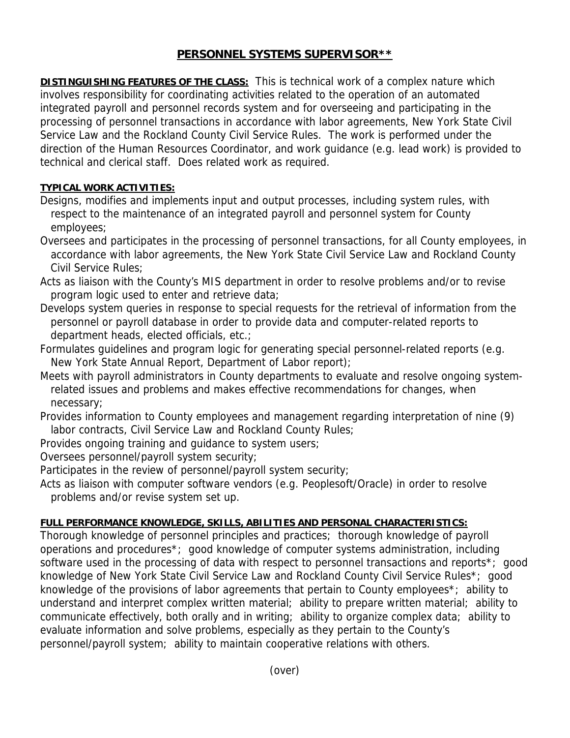# **PERSONNEL SYSTEMS SUPERVISOR\*\***

**DISTINGUISHING FEATURES OF THE CLASS:** This is technical work of a complex nature which involves responsibility for coordinating activities related to the operation of an automated integrated payroll and personnel records system and for overseeing and participating in the processing of personnel transactions in accordance with labor agreements, New York State Civil Service Law and the Rockland County Civil Service Rules. The work is performed under the direction of the Human Resources Coordinator, and work guidance (e.g. lead work) is provided to technical and clerical staff. Does related work as required.

## **TYPICAL WORK ACTIVITIES:**

- Designs, modifies and implements input and output processes, including system rules, with respect to the maintenance of an integrated payroll and personnel system for County employees;
- Oversees and participates in the processing of personnel transactions, for all County employees, in accordance with labor agreements, the New York State Civil Service Law and Rockland County Civil Service Rules;
- Acts as liaison with the County's MIS department in order to resolve problems and/or to revise program logic used to enter and retrieve data;
- Develops system queries in response to special requests for the retrieval of information from the personnel or payroll database in order to provide data and computer-related reports to department heads, elected officials, etc.;
- Formulates guidelines and program logic for generating special personnel-related reports (e.g. New York State Annual Report, Department of Labor report);
- Meets with payroll administrators in County departments to evaluate and resolve ongoing system related issues and problems and makes effective recommendations for changes, when necessary;
- Provides information to County employees and management regarding interpretation of nine (9) labor contracts, Civil Service Law and Rockland County Rules;

Provides ongoing training and guidance to system users;

Oversees personnel/payroll system security;

Participates in the review of personnel/payroll system security;

Acts as liaison with computer software vendors (e.g. Peoplesoft/Oracle) in order to resolve problems and/or revise system set up.

## **FULL PERFORMANCE KNOWLEDGE, SKILLS, ABILITIES AND PERSONAL CHARACTERISTICS:**

Thorough knowledge of personnel principles and practices; thorough knowledge of payroll operations and procedures\*; good knowledge of computer systems administration, including software used in the processing of data with respect to personnel transactions and reports<sup>\*</sup>; good knowledge of New York State Civil Service Law and Rockland County Civil Service Rules\*; good knowledge of the provisions of labor agreements that pertain to County employees\*; ability to understand and interpret complex written material; ability to prepare written material; ability to communicate effectively, both orally and in writing; ability to organize complex data; ability to evaluate information and solve problems, especially as they pertain to the County's personnel/payroll system; ability to maintain cooperative relations with others.